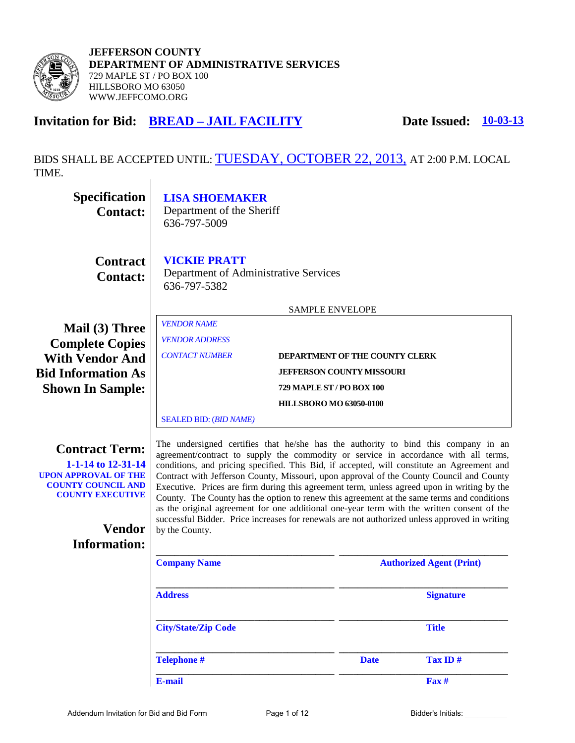

# **Invitation for Bid: BREAD – JAIL FACILITY** Date Issued:  $\frac{10-03-13}{20}$

BIDS SHALL BE ACCEPTED UNTIL: TUESDAY, OCTOBER 22, 2013, AT 2:00 P.M. LOCAL TIME.

| Specification<br><b>Contact:</b>                                                                                                                                           | <b>LISA SHOEMAKER</b><br>Department of the Sheriff<br>636-797-5009                                                                                                                                                                                                                                                                                                                                                                                                                                                                                                                                                                                                                                                                                                                |                                |                                 |                  |
|----------------------------------------------------------------------------------------------------------------------------------------------------------------------------|-----------------------------------------------------------------------------------------------------------------------------------------------------------------------------------------------------------------------------------------------------------------------------------------------------------------------------------------------------------------------------------------------------------------------------------------------------------------------------------------------------------------------------------------------------------------------------------------------------------------------------------------------------------------------------------------------------------------------------------------------------------------------------------|--------------------------------|---------------------------------|------------------|
| <b>Contract</b><br><b>Contact:</b>                                                                                                                                         | <b>VICKIE PRATT</b><br>Department of Administrative Services<br>636-797-5382                                                                                                                                                                                                                                                                                                                                                                                                                                                                                                                                                                                                                                                                                                      |                                |                                 |                  |
|                                                                                                                                                                            | <b>SAMPLE ENVELOPE</b>                                                                                                                                                                                                                                                                                                                                                                                                                                                                                                                                                                                                                                                                                                                                                            |                                |                                 |                  |
| Mail (3) Three<br><b>Complete Copies</b>                                                                                                                                   | <b>VENDOR NAME</b><br><b>VENDOR ADDRESS</b>                                                                                                                                                                                                                                                                                                                                                                                                                                                                                                                                                                                                                                                                                                                                       |                                |                                 |                  |
| <b>With Vendor And</b>                                                                                                                                                     | <b>CONTACT NUMBER</b><br>DEPARTMENT OF THE COUNTY CLERK                                                                                                                                                                                                                                                                                                                                                                                                                                                                                                                                                                                                                                                                                                                           |                                |                                 |                  |
| <b>Bid Information As</b>                                                                                                                                                  | <b>JEFFERSON COUNTY MISSOURI</b>                                                                                                                                                                                                                                                                                                                                                                                                                                                                                                                                                                                                                                                                                                                                                  |                                |                                 |                  |
| <b>Shown In Sample:</b>                                                                                                                                                    | 729 MAPLE ST / PO BOX 100                                                                                                                                                                                                                                                                                                                                                                                                                                                                                                                                                                                                                                                                                                                                                         |                                |                                 |                  |
|                                                                                                                                                                            |                                                                                                                                                                                                                                                                                                                                                                                                                                                                                                                                                                                                                                                                                                                                                                                   | <b>HILLSBORO MO 63050-0100</b> |                                 |                  |
|                                                                                                                                                                            | <b>SEALED BID:</b> (BID NAME)                                                                                                                                                                                                                                                                                                                                                                                                                                                                                                                                                                                                                                                                                                                                                     |                                |                                 |                  |
| <b>Contract Term:</b><br>1-1-14 to 12-31-14<br><b>UPON APPROVAL OF THE</b><br><b>COUNTY COUNCIL AND</b><br><b>COUNTY EXECUTIVE</b><br><b>Vendor</b><br><b>Information:</b> | The undersigned certifies that he/she has the authority to bind this company in an<br>agreement/contract to supply the commodity or service in accordance with all terms,<br>conditions, and pricing specified. This Bid, if accepted, will constitute an Agreement and<br>Contract with Jefferson County, Missouri, upon approval of the County Council and County<br>Executive. Prices are firm during this agreement term, unless agreed upon in writing by the<br>County. The County has the option to renew this agreement at the same terms and conditions<br>as the original agreement for one additional one-year term with the written consent of the<br>successful Bidder. Price increases for renewals are not authorized unless approved in writing<br>by the County. |                                |                                 |                  |
|                                                                                                                                                                            | <b>Company Name</b>                                                                                                                                                                                                                                                                                                                                                                                                                                                                                                                                                                                                                                                                                                                                                               |                                | <b>Authorized Agent (Print)</b> |                  |
|                                                                                                                                                                            | <b>Address</b>                                                                                                                                                                                                                                                                                                                                                                                                                                                                                                                                                                                                                                                                                                                                                                    |                                |                                 | <b>Signature</b> |
|                                                                                                                                                                            | <b>City/State/Zip Code</b>                                                                                                                                                                                                                                                                                                                                                                                                                                                                                                                                                                                                                                                                                                                                                        |                                |                                 | <b>Title</b>     |
|                                                                                                                                                                            | <b>Telephone #</b>                                                                                                                                                                                                                                                                                                                                                                                                                                                                                                                                                                                                                                                                                                                                                                |                                | <b>Date</b>                     | Tax ID#          |
|                                                                                                                                                                            | E-mail                                                                                                                                                                                                                                                                                                                                                                                                                                                                                                                                                                                                                                                                                                                                                                            |                                |                                 | Fax #            |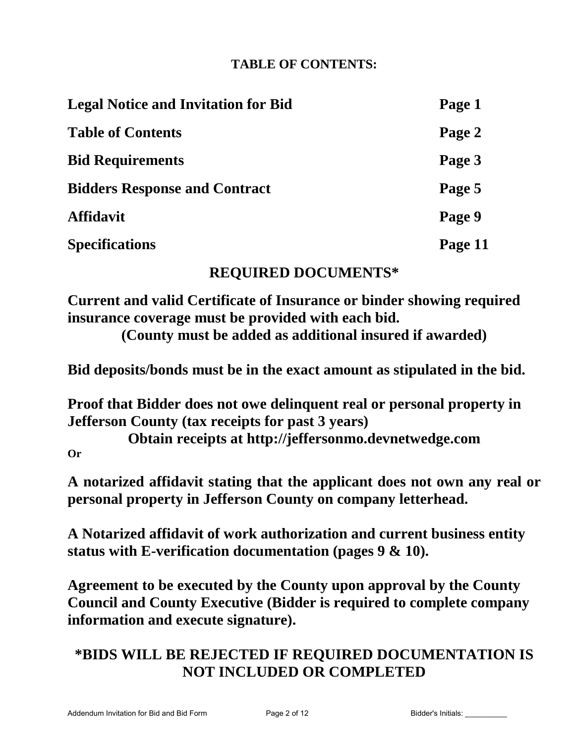# **TABLE OF CONTENTS:**

| <b>Legal Notice and Invitation for Bid</b> | Page 1  |
|--------------------------------------------|---------|
| <b>Table of Contents</b>                   | Page 2  |
| <b>Bid Requirements</b>                    | Page 3  |
| <b>Bidders Response and Contract</b>       | Page 5  |
| <b>Affidavit</b>                           | Page 9  |
| <b>Specifications</b>                      | Page 11 |

# **REQUIRED DOCUMENTS\***

**Current and valid Certificate of Insurance or binder showing required insurance coverage must be provided with each bid.**

**(County must be added as additional insured if awarded)**

**Bid deposits/bonds must be in the exact amount as stipulated in the bid.** 

**Proof that Bidder does not owe delinquent real or personal property in Jefferson County (tax receipts for past 3 years)** 

**Obtain receipts at http://jeffersonmo.devnetwedge.com Or** 

**A notarized affidavit stating that the applicant does not own any real or personal property in Jefferson County on company letterhead.** 

**A Notarized affidavit of work authorization and current business entity status with E-verification documentation (pages 9 & 10).** 

**Agreement to be executed by the County upon approval by the County Council and County Executive (Bidder is required to complete company information and execute signature).** 

# **\*BIDS WILL BE REJECTED IF REQUIRED DOCUMENTATION IS NOT INCLUDED OR COMPLETED**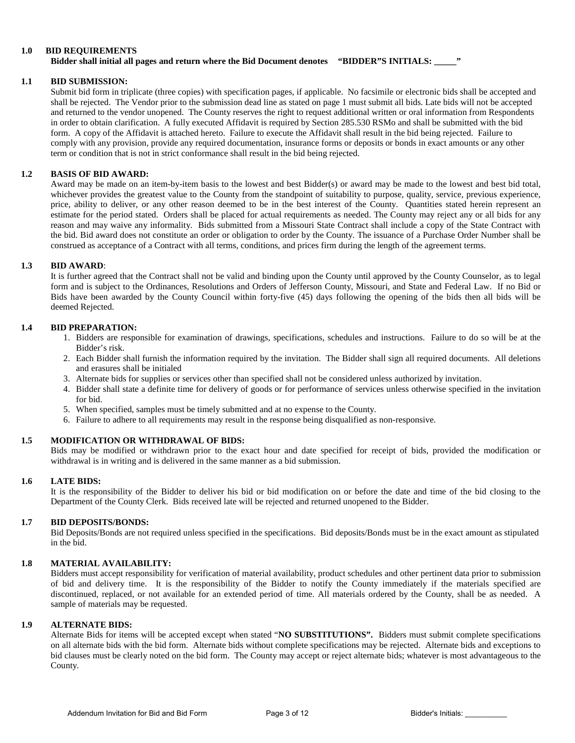#### **1.0 BID REQUIREMENTS**

#### **Bidder shall initial all pages and return where the Bid Document denotes "BIDDER"S INITIALS: \_\_\_\_\_"**

#### **1.1 BID SUBMISSION:**

Submit bid form in triplicate (three copies) with specification pages, if applicable. No facsimile or electronic bids shall be accepted and shall be rejected. The Vendor prior to the submission dead line as stated on page 1 must submit all bids. Late bids will not be accepted and returned to the vendor unopened. The County reserves the right to request additional written or oral information from Respondents in order to obtain clarification. A fully executed Affidavit is required by Section 285.530 RSMo and shall be submitted with the bid form. A copy of the Affidavit is attached hereto. Failure to execute the Affidavit shall result in the bid being rejected. Failure to comply with any provision, provide any required documentation, insurance forms or deposits or bonds in exact amounts or any other term or condition that is not in strict conformance shall result in the bid being rejected.

#### **1.2 BASIS OF BID AWARD:**

Award may be made on an item-by-item basis to the lowest and best Bidder(s) or award may be made to the lowest and best bid total, whichever provides the greatest value to the County from the standpoint of suitability to purpose, quality, service, previous experience, price, ability to deliver, or any other reason deemed to be in the best interest of the County. Quantities stated herein represent an estimate for the period stated. Orders shall be placed for actual requirements as needed. The County may reject any or all bids for any reason and may waive any informality. Bids submitted from a Missouri State Contract shall include a copy of the State Contract with the bid. Bid award does not constitute an order or obligation to order by the County. The issuance of a Purchase Order Number shall be construed as acceptance of a Contract with all terms, conditions, and prices firm during the length of the agreement terms.

#### **1.3 BID AWARD**:

It is further agreed that the Contract shall not be valid and binding upon the County until approved by the County Counselor, as to legal form and is subject to the Ordinances, Resolutions and Orders of Jefferson County, Missouri, and State and Federal Law. If no Bid or Bids have been awarded by the County Council within forty-five (45) days following the opening of the bids then all bids will be deemed Rejected.

#### **1.4 BID PREPARATION:**

- 1. Bidders are responsible for examination of drawings, specifications, schedules and instructions. Failure to do so will be at the Bidder's risk.
- 2. Each Bidder shall furnish the information required by the invitation. The Bidder shall sign all required documents. All deletions and erasures shall be initialed
- 3. Alternate bids for supplies or services other than specified shall not be considered unless authorized by invitation.
- 4. Bidder shall state a definite time for delivery of goods or for performance of services unless otherwise specified in the invitation for bid.
- 5. When specified, samples must be timely submitted and at no expense to the County.
- 6. Failure to adhere to all requirements may result in the response being disqualified as non-responsive.

#### **1.5 MODIFICATION OR WITHDRAWAL OF BIDS:**

Bids may be modified or withdrawn prior to the exact hour and date specified for receipt of bids, provided the modification or withdrawal is in writing and is delivered in the same manner as a bid submission.

#### **1.6 LATE BIDS:**

It is the responsibility of the Bidder to deliver his bid or bid modification on or before the date and time of the bid closing to the Department of the County Clerk. Bids received late will be rejected and returned unopened to the Bidder.

#### **1.7 BID DEPOSITS/BONDS:**

Bid Deposits/Bonds are not required unless specified in the specifications. Bid deposits/Bonds must be in the exact amount as stipulated in the bid.

#### **1.8 MATERIAL AVAILABILITY:**

Bidders must accept responsibility for verification of material availability, product schedules and other pertinent data prior to submission of bid and delivery time. It is the responsibility of the Bidder to notify the County immediately if the materials specified are discontinued, replaced, or not available for an extended period of time. All materials ordered by the County, shall be as needed. A sample of materials may be requested.

#### **1.9 ALTERNATE BIDS:**

Alternate Bids for items will be accepted except when stated "**NO SUBSTITUTIONS".** Bidders must submit complete specifications on all alternate bids with the bid form. Alternate bids without complete specifications may be rejected. Alternate bids and exceptions to bid clauses must be clearly noted on the bid form. The County may accept or reject alternate bids; whatever is most advantageous to the County.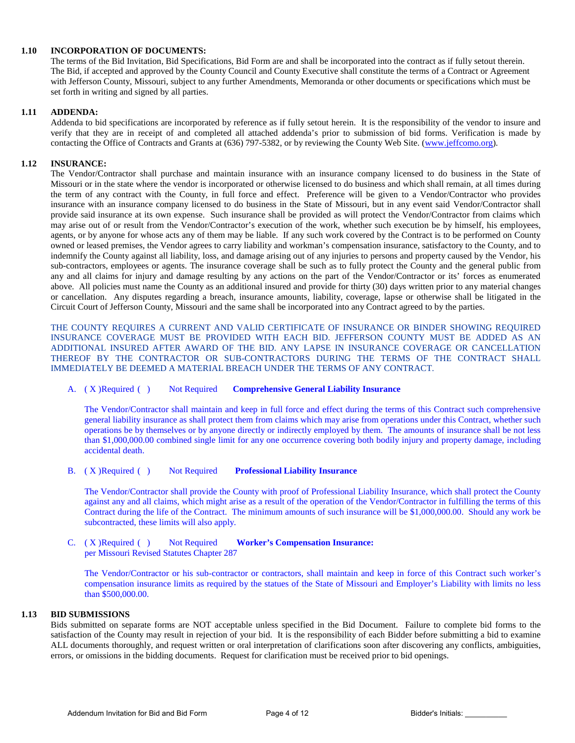#### **1.10 INCORPORATION OF DOCUMENTS:**

The terms of the Bid Invitation, Bid Specifications, Bid Form are and shall be incorporated into the contract as if fully setout therein. The Bid, if accepted and approved by the County Council and County Executive shall constitute the terms of a Contract or Agreement with Jefferson County, Missouri, subject to any further Amendments, Memoranda or other documents or specifications which must be set forth in writing and signed by all parties.

#### **1.11 ADDENDA:**

Addenda to bid specifications are incorporated by reference as if fully setout herein. It is the responsibility of the vendor to insure and verify that they are in receipt of and completed all attached addenda's prior to submission of bid forms. Verification is made by contacting the Office of Contracts and Grants at (636) 797-5382, or by reviewing the County Web Site. [\(www.jeffcomo.org\)](http://www.jeffcomo.org/).

#### **1.12 INSURANCE:**

The Vendor/Contractor shall purchase and maintain insurance with an insurance company licensed to do business in the State of Missouri or in the state where the vendor is incorporated or otherwise licensed to do business and which shall remain, at all times during the term of any contract with the County, in full force and effect. Preference will be given to a Vendor/Contractor who provides insurance with an insurance company licensed to do business in the State of Missouri, but in any event said Vendor/Contractor shall provide said insurance at its own expense. Such insurance shall be provided as will protect the Vendor/Contractor from claims which may arise out of or result from the Vendor/Contractor's execution of the work, whether such execution be by himself, his employees, agents, or by anyone for whose acts any of them may be liable. If any such work covered by the Contract is to be performed on County owned or leased premises, the Vendor agrees to carry liability and workman's compensation insurance, satisfactory to the County, and to indemnify the County against all liability, loss, and damage arising out of any injuries to persons and property caused by the Vendor, his sub-contractors, employees or agents. The insurance coverage shall be such as to fully protect the County and the general public from any and all claims for injury and damage resulting by any actions on the part of the Vendor/Contractor or its' forces as enumerated above. All policies must name the County as an additional insured and provide for thirty (30) days written prior to any material changes or cancellation. Any disputes regarding a breach, insurance amounts, liability, coverage, lapse or otherwise shall be litigated in the Circuit Court of Jefferson County, Missouri and the same shall be incorporated into any Contract agreed to by the parties.

THE COUNTY REQUIRES A CURRENT AND VALID CERTIFICATE OF INSURANCE OR BINDER SHOWING REQUIRED INSURANCE COVERAGE MUST BE PROVIDED WITH EACH BID. JEFFERSON COUNTY MUST BE ADDED AS AN ADDITIONAL INSURED AFTER AWARD OF THE BID. ANY LAPSE IN INSURANCE COVERAGE OR CANCELLATION THEREOF BY THE CONTRACTOR OR SUB-CONTRACTORS DURING THE TERMS OF THE CONTRACT SHALL IMMEDIATELY BE DEEMED A MATERIAL BREACH UNDER THE TERMS OF ANY CONTRACT.

#### A. ( X )Required ( ) Not Required **Comprehensive General Liability Insurance**

The Vendor/Contractor shall maintain and keep in full force and effect during the terms of this Contract such comprehensive general liability insurance as shall protect them from claims which may arise from operations under this Contract, whether such operations be by themselves or by anyone directly or indirectly employed by them. The amounts of insurance shall be not less than \$1,000,000.00 combined single limit for any one occurrence covering both bodily injury and property damage, including accidental death.

#### B. ( X )Required ( ) Not Required **Professional Liability Insurance**

The Vendor/Contractor shall provide the County with proof of Professional Liability Insurance, which shall protect the County against any and all claims, which might arise as a result of the operation of the Vendor/Contractor in fulfilling the terms of this Contract during the life of the Contract. The minimum amounts of such insurance will be \$1,000,000.00. Should any work be subcontracted, these limits will also apply.

C. ( X )Required ( ) Not Required **Worker's Compensation Insurance:**  per Missouri Revised Statutes Chapter 287

The Vendor/Contractor or his sub-contractor or contractors, shall maintain and keep in force of this Contract such worker's compensation insurance limits as required by the statues of the State of Missouri and Employer's Liability with limits no less than \$500,000.00.

#### **1.13 BID SUBMISSIONS**

Bids submitted on separate forms are NOT acceptable unless specified in the Bid Document. Failure to complete bid forms to the satisfaction of the County may result in rejection of your bid. It is the responsibility of each Bidder before submitting a bid to examine ALL documents thoroughly, and request written or oral interpretation of clarifications soon after discovering any conflicts, ambiguities, errors, or omissions in the bidding documents. Request for clarification must be received prior to bid openings.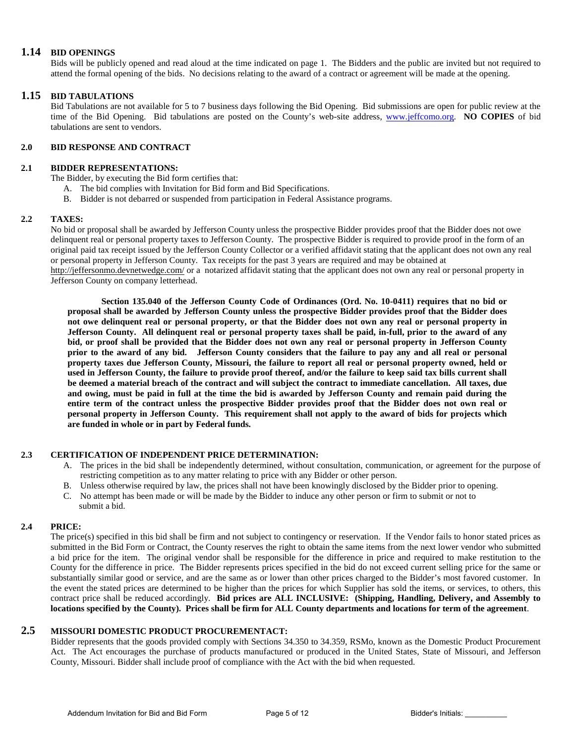#### **1.14 BID OPENINGS**

Bids will be publicly opened and read aloud at the time indicated on page 1. The Bidders and the public are invited but not required to attend the formal opening of the bids. No decisions relating to the award of a contract or agreement will be made at the opening.

#### **1.15 BID TABULATIONS**

Bid Tabulations are not available for 5 to 7 business days following the Bid Opening. Bid submissions are open for public review at the time of the Bid Opening. Bid tabulations are posted on the County's web-site address, [www.jeffcomo.org.](http://www.jeffcomo.org/) **NO COPIES** of bid tabulations are sent to vendors.

#### **2.0 BID RESPONSE AND CONTRACT**

#### **2.1 BIDDER REPRESENTATIONS:**

The Bidder, by executing the Bid form certifies that:

- A. The bid complies with Invitation for Bid form and Bid Specifications.
- B. Bidder is not debarred or suspended from participation in Federal Assistance programs.

#### **2.2 TAXES:**

No bid or proposal shall be awarded by Jefferson County unless the prospective Bidder provides proof that the Bidder does not owe delinquent real or personal property taxes to Jefferson County. The prospective Bidder is required to provide proof in the form of an original paid tax receipt issued by the Jefferson County Collector or a verified affidavit stating that the applicant does not own any real or personal property in Jefferson County. Tax receipts for the past 3 years are required and may be obtained at

<http://jeffersonmo.devnetwedge.com/> or a notarized affidavit stating that the applicant does not own any real or personal property in Jefferson County on company letterhead.

**Section 135.040 of the Jefferson County Code of Ordinances (Ord. No. 10-0411) requires that no bid or proposal shall be awarded by Jefferson County unless the prospective Bidder provides proof that the Bidder does not owe delinquent real or personal property, or that the Bidder does not own any real or personal property in Jefferson County. All delinquent real or personal property taxes shall be paid, in-full, prior to the award of any bid, or proof shall be provided that the Bidder does not own any real or personal property in Jefferson County prior to the award of any bid. Jefferson County considers that the failure to pay any and all real or personal property taxes due Jefferson County, Missouri, the failure to report all real or personal property owned, held or used in Jefferson County, the failure to provide proof thereof, and/or the failure to keep said tax bills current shall be deemed a material breach of the contract and will subject the contract to immediate cancellation. All taxes, due and owing, must be paid in full at the time the bid is awarded by Jefferson County and remain paid during the entire term of the contract unless the prospective Bidder provides proof that the Bidder does not own real or personal property in Jefferson County. This requirement shall not apply to the award of bids for projects which are funded in whole or in part by Federal funds.**

#### **2.3 CERTIFICATION OF INDEPENDENT PRICE DETERMINATION:**

- A. The prices in the bid shall be independently determined, without consultation, communication, or agreement for the purpose of restricting competition as to any matter relating to price with any Bidder or other person.
- B. Unless otherwise required by law, the prices shall not have been knowingly disclosed by the Bidder prior to opening.
- C. No attempt has been made or will be made by the Bidder to induce any other person or firm to submit or not to submit a bid.

#### **2.4 PRICE:**

The price(s) specified in this bid shall be firm and not subject to contingency or reservation. If the Vendor fails to honor stated prices as submitted in the Bid Form or Contract, the County reserves the right to obtain the same items from the next lower vendor who submitted a bid price for the item. The original vendor shall be responsible for the difference in price and required to make restitution to the County for the difference in price. The Bidder represents prices specified in the bid do not exceed current selling price for the same or substantially similar good or service, and are the same as or lower than other prices charged to the Bidder's most favored customer. In the event the stated prices are determined to be higher than the prices for which Supplier has sold the items, or services, to others, this contract price shall be reduced accordingly. **Bid prices are ALL INCLUSIVE: (Shipping, Handling, Delivery, and Assembly to locations specified by the County). Prices shall be firm for ALL County departments and locations for term of the agreement**.

## **2.5 MISSOURI DOMESTIC PRODUCT PROCUREMENTACT:**

Bidder represents that the goods provided comply with Sections 34.350 to 34.359, RSMo, known as the Domestic Product Procurement Act. The Act encourages the purchase of products manufactured or produced in the United States, State of Missouri, and Jefferson County, Missouri. Bidder shall include proof of compliance with the Act with the bid when requested.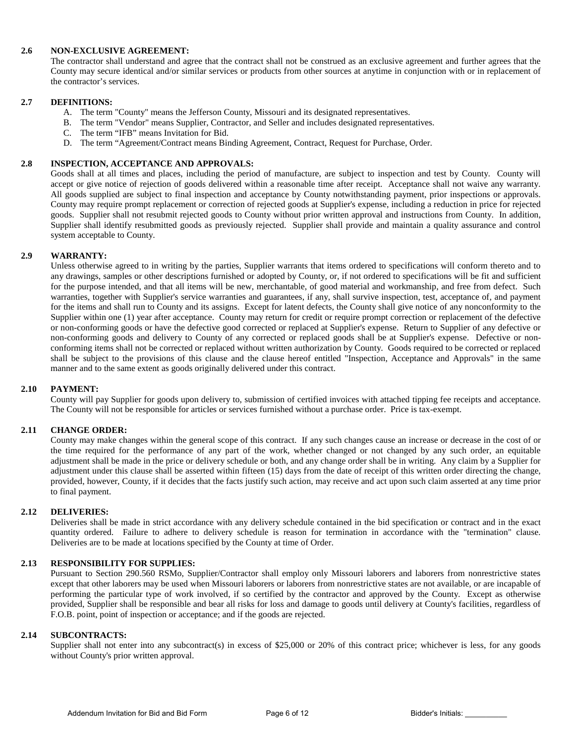#### **2.6 NON-EXCLUSIVE AGREEMENT:**

The contractor shall understand and agree that the contract shall not be construed as an exclusive agreement and further agrees that the County may secure identical and/or similar services or products from other sources at anytime in conjunction with or in replacement of the contractor's services.

#### **2.7 DEFINITIONS:**

- A. The term "County" means the Jefferson County, Missouri and its designated representatives.
- B. The term "Vendor" means Supplier, Contractor, and Seller and includes designated representatives.
- C. The term "IFB" means Invitation for Bid.
- D. The term "Agreement/Contract means Binding Agreement, Contract, Request for Purchase, Order.

#### **2.8 INSPECTION, ACCEPTANCE AND APPROVALS:**

Goods shall at all times and places, including the period of manufacture, are subject to inspection and test by County. County will accept or give notice of rejection of goods delivered within a reasonable time after receipt. Acceptance shall not waive any warranty. All goods supplied are subject to final inspection and acceptance by County notwithstanding payment, prior inspections or approvals. County may require prompt replacement or correction of rejected goods at Supplier's expense, including a reduction in price for rejected goods. Supplier shall not resubmit rejected goods to County without prior written approval and instructions from County. In addition, Supplier shall identify resubmitted goods as previously rejected. Supplier shall provide and maintain a quality assurance and control system acceptable to County.

#### **2.9 WARRANTY:**

Unless otherwise agreed to in writing by the parties, Supplier warrants that items ordered to specifications will conform thereto and to any drawings, samples or other descriptions furnished or adopted by County, or, if not ordered to specifications will be fit and sufficient for the purpose intended, and that all items will be new, merchantable, of good material and workmanship, and free from defect. Such warranties, together with Supplier's service warranties and guarantees, if any, shall survive inspection, test, acceptance of, and payment for the items and shall run to County and its assigns. Except for latent defects, the County shall give notice of any nonconformity to the Supplier within one (1) year after acceptance. County may return for credit or require prompt correction or replacement of the defective or non-conforming goods or have the defective good corrected or replaced at Supplier's expense. Return to Supplier of any defective or non-conforming goods and delivery to County of any corrected or replaced goods shall be at Supplier's expense. Defective or nonconforming items shall not be corrected or replaced without written authorization by County. Goods required to be corrected or replaced shall be subject to the provisions of this clause and the clause hereof entitled "Inspection, Acceptance and Approvals" in the same manner and to the same extent as goods originally delivered under this contract.

#### **2.10 PAYMENT:**

County will pay Supplier for goods upon delivery to, submission of certified invoices with attached tipping fee receipts and acceptance. The County will not be responsible for articles or services furnished without a purchase order. Price is tax-exempt.

#### **2.11 CHANGE ORDER:**

County may make changes within the general scope of this contract. If any such changes cause an increase or decrease in the cost of or the time required for the performance of any part of the work, whether changed or not changed by any such order, an equitable adjustment shall be made in the price or delivery schedule or both, and any change order shall be in writing. Any claim by a Supplier for adjustment under this clause shall be asserted within fifteen (15) days from the date of receipt of this written order directing the change, provided, however, County, if it decides that the facts justify such action, may receive and act upon such claim asserted at any time prior to final payment.

#### **2.12 DELIVERIES:**

Deliveries shall be made in strict accordance with any delivery schedule contained in the bid specification or contract and in the exact quantity ordered. Failure to adhere to delivery schedule is reason for termination in accordance with the "termination" clause. Deliveries are to be made at locations specified by the County at time of Order.

#### **2.13 RESPONSIBILITY FOR SUPPLIES:**

Pursuant to Section 290.560 RSMo, Supplier/Contractor shall employ only Missouri laborers and laborers from nonrestrictive states except that other laborers may be used when Missouri laborers or laborers from nonrestrictive states are not available, or are incapable of performing the particular type of work involved, if so certified by the contractor and approved by the County. Except as otherwise provided, Supplier shall be responsible and bear all risks for loss and damage to goods until delivery at County's facilities, regardless of F.O.B. point, point of inspection or acceptance; and if the goods are rejected.

#### **2.14 SUBCONTRACTS:**

Supplier shall not enter into any subcontract(s) in excess of \$25,000 or 20% of this contract price; whichever is less, for any goods without County's prior written approval.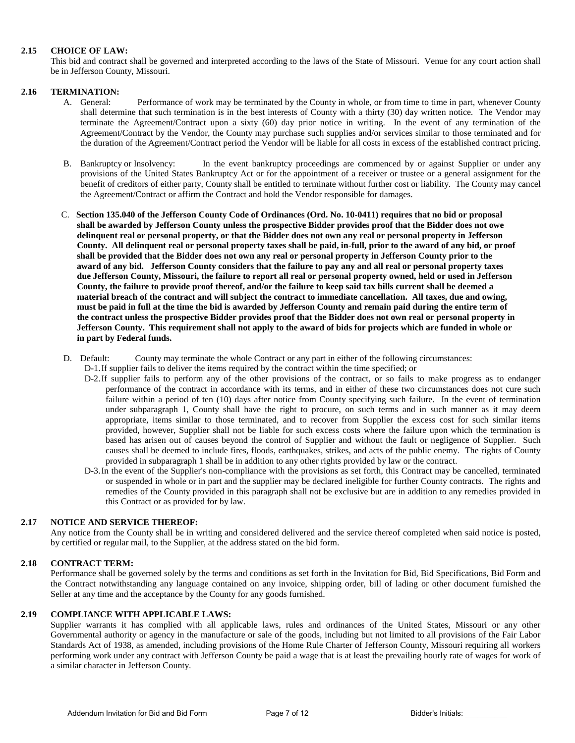#### **2.15 CHOICE OF LAW:**

This bid and contract shall be governed and interpreted according to the laws of the State of Missouri. Venue for any court action shall be in Jefferson County, Missouri.

#### **2.16 TERMINATION:**

- A. General: Performance of work may be terminated by the County in whole, or from time to time in part, whenever County shall determine that such termination is in the best interests of County with a thirty (30) day written notice. The Vendor may terminate the Agreement/Contract upon a sixty (60) day prior notice in writing. In the event of any termination of the Agreement/Contract by the Vendor, the County may purchase such supplies and/or services similar to those terminated and for the duration of the Agreement/Contract period the Vendor will be liable for all costs in excess of the established contract pricing.
- B. Bankruptcy or Insolvency: In the event bankruptcy proceedings are commenced by or against Supplier or under any provisions of the United States Bankruptcy Act or for the appointment of a receiver or trustee or a general assignment for the benefit of creditors of either party, County shall be entitled to terminate without further cost or liability. The County may cancel the Agreement/Contract or affirm the Contract and hold the Vendor responsible for damages.
- C. **Section 135.040 of the Jefferson County Code of Ordinances (Ord. No. 10-0411) requires that no bid or proposal shall be awarded by Jefferson County unless the prospective Bidder provides proof that the Bidder does not owe delinquent real or personal property, or that the Bidder does not own any real or personal property in Jefferson County. All delinquent real or personal property taxes shall be paid, in-full, prior to the award of any bid, or proof shall be provided that the Bidder does not own any real or personal property in Jefferson County prior to the award of any bid. Jefferson County considers that the failure to pay any and all real or personal property taxes due Jefferson County, Missouri, the failure to report all real or personal property owned, held or used in Jefferson County, the failure to provide proof thereof, and/or the failure to keep said tax bills current shall be deemed a material breach of the contract and will subject the contract to immediate cancellation. All taxes, due and owing, must be paid in full at the time the bid is awarded by Jefferson County and remain paid during the entire term of the contract unless the prospective Bidder provides proof that the Bidder does not own real or personal property in Jefferson County. This requirement shall not apply to the award of bids for projects which are funded in whole or in part by Federal funds.**
- D. Default: County may terminate the whole Contract or any part in either of the following circumstances:
	- D-1.If supplier fails to deliver the items required by the contract within the time specified; or
		- D-2.If supplier fails to perform any of the other provisions of the contract, or so fails to make progress as to endanger performance of the contract in accordance with its terms, and in either of these two circumstances does not cure such failure within a period of ten (10) days after notice from County specifying such failure. In the event of termination under subparagraph 1, County shall have the right to procure, on such terms and in such manner as it may deem appropriate, items similar to those terminated, and to recover from Supplier the excess cost for such similar items provided, however, Supplier shall not be liable for such excess costs where the failure upon which the termination is based has arisen out of causes beyond the control of Supplier and without the fault or negligence of Supplier. Such causes shall be deemed to include fires, floods, earthquakes, strikes, and acts of the public enemy. The rights of County provided in subparagraph 1 shall be in addition to any other rights provided by law or the contract.
		- D-3.In the event of the Supplier's non-compliance with the provisions as set forth, this Contract may be cancelled, terminated or suspended in whole or in part and the supplier may be declared ineligible for further County contracts. The rights and remedies of the County provided in this paragraph shall not be exclusive but are in addition to any remedies provided in this Contract or as provided for by law.

#### **2.17 NOTICE AND SERVICE THEREOF:**

Any notice from the County shall be in writing and considered delivered and the service thereof completed when said notice is posted, by certified or regular mail, to the Supplier, at the address stated on the bid form.

#### **2.18 CONTRACT TERM:**

Performance shall be governed solely by the terms and conditions as set forth in the Invitation for Bid, Bid Specifications, Bid Form and the Contract notwithstanding any language contained on any invoice, shipping order, bill of lading or other document furnished the Seller at any time and the acceptance by the County for any goods furnished.

#### **2.19 COMPLIANCE WITH APPLICABLE LAWS:**

Supplier warrants it has complied with all applicable laws, rules and ordinances of the United States, Missouri or any other Governmental authority or agency in the manufacture or sale of the goods, including but not limited to all provisions of the Fair Labor Standards Act of 1938, as amended, including provisions of the Home Rule Charter of Jefferson County, Missouri requiring all workers performing work under any contract with Jefferson County be paid a wage that is at least the prevailing hourly rate of wages for work of a similar character in Jefferson County.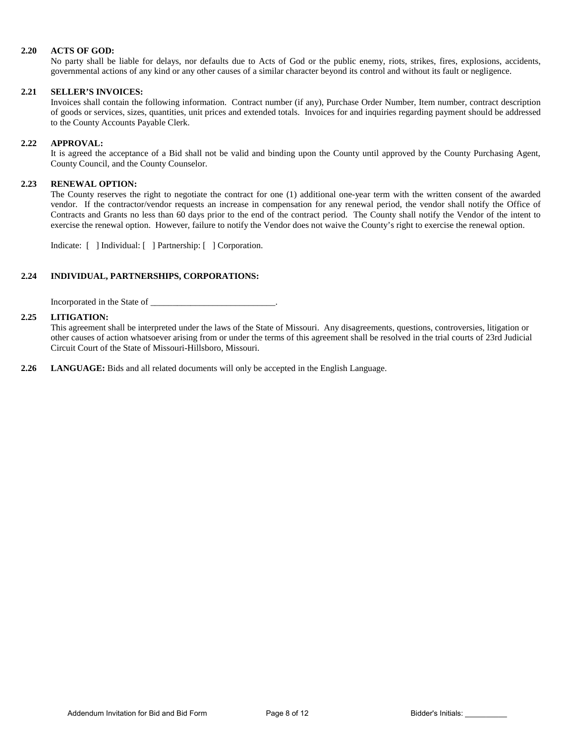#### **2.20 ACTS OF GOD:**

No party shall be liable for delays, nor defaults due to Acts of God or the public enemy, riots, strikes, fires, explosions, accidents, governmental actions of any kind or any other causes of a similar character beyond its control and without its fault or negligence.

#### **2.21 SELLER'S INVOICES:**

Invoices shall contain the following information. Contract number (if any), Purchase Order Number, Item number, contract description of goods or services, sizes, quantities, unit prices and extended totals. Invoices for and inquiries regarding payment should be addressed to the County Accounts Payable Clerk.

#### **2.22 APPROVAL:**

It is agreed the acceptance of a Bid shall not be valid and binding upon the County until approved by the County Purchasing Agent, County Council, and the County Counselor.

#### **2.23 RENEWAL OPTION:**

The County reserves the right to negotiate the contract for one (1) additional one-year term with the written consent of the awarded vendor. If the contractor/vendor requests an increase in compensation for any renewal period, the vendor shall notify the Office of Contracts and Grants no less than 60 days prior to the end of the contract period. The County shall notify the Vendor of the intent to exercise the renewal option. However, failure to notify the Vendor does not waive the County's right to exercise the renewal option.

Indicate: [ ] Individual: [ ] Partnership: [ ] Corporation.

#### **2.24 INDIVIDUAL, PARTNERSHIPS, CORPORATIONS:**

Incorporated in the State of \_\_\_\_\_\_\_\_\_\_\_\_\_\_\_\_\_\_\_\_\_\_\_\_\_\_\_\_.

#### **2.25 LITIGATION:**

This agreement shall be interpreted under the laws of the State of Missouri. Any disagreements, questions, controversies, litigation or other causes of action whatsoever arising from or under the terms of this agreement shall be resolved in the trial courts of 23rd Judicial Circuit Court of the State of Missouri-Hillsboro, Missouri.

**2.26 LANGUAGE:** Bids and all related documents will only be accepted in the English Language.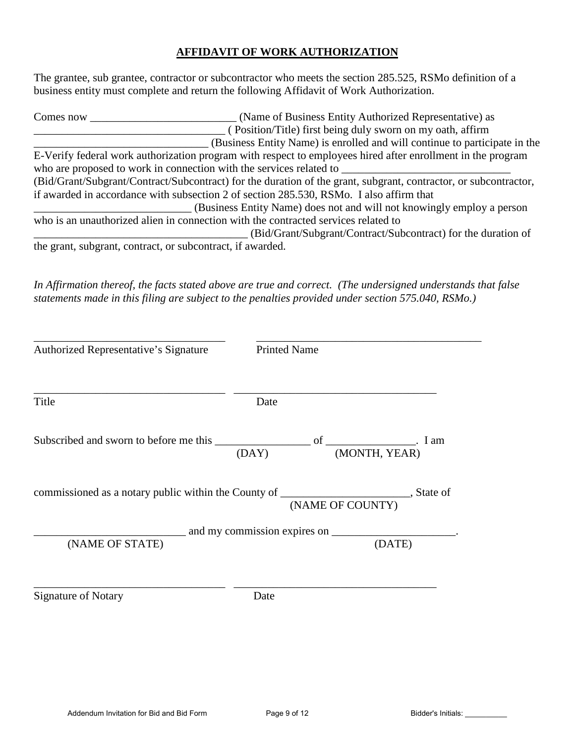## **AFFIDAVIT OF WORK AUTHORIZATION**

The grantee, sub grantee, contractor or subcontractor who meets the section 285.525, RSMo definition of a business entity must complete and return the following Affidavit of Work Authorization.

| Comes now | (Name of Business Entity Authorized Representative) as                                                           |
|-----------|------------------------------------------------------------------------------------------------------------------|
|           | (Position/Title) first being duly sworn on my oath, affirm                                                       |
|           | (Business Entity Name) is enrolled and will continue to participate in the                                       |
|           | E-Verify federal work authorization program with respect to employees hired after enrollment in the program      |
|           | who are proposed to work in connection with the services related to                                              |
|           | (Bid/Grant/Subgrant/Contract/Subcontract) for the duration of the grant, subgrant, contractor, or subcontractor, |
|           | if awarded in accordance with subsection 2 of section 285.530, RSMo. I also affirm that                          |
|           | (Business Entity Name) does not and will not knowingly employ a person                                           |
|           | who is an unauthorized alien in connection with the contracted services related to                               |
|           | (Bid/Grant/Subgrant/Contract/Subcontract) for the duration of                                                    |
|           | the grant, subgrant, contract, or subcontract, if awarded.                                                       |

*In Affirmation thereof, the facts stated above are true and correct. (The undersigned understands that false statements made in this filing are subject to the penalties provided under section 575.040, RSMo.)* 

| Authorized Representative's Signature | <b>Printed Name</b>                                                                                            |  |
|---------------------------------------|----------------------------------------------------------------------------------------------------------------|--|
| Title                                 | Date                                                                                                           |  |
|                                       | (MONTH, YEAR)<br>(DAY)                                                                                         |  |
|                                       | commissioned as a notary public within the County of ___________________________, State of<br>(NAME OF COUNTY) |  |
|                                       |                                                                                                                |  |
| (NAME OF STATE)                       | (DATE)                                                                                                         |  |
| <b>Signature of Notary</b>            | Date                                                                                                           |  |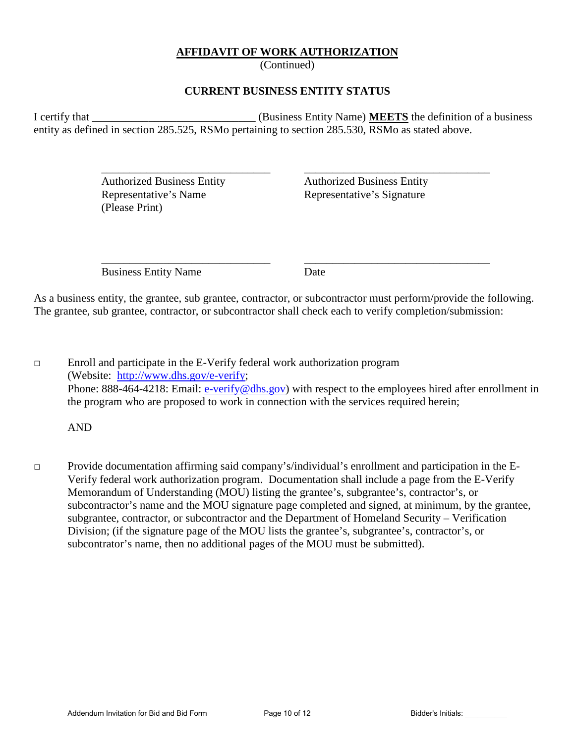## **AFFIDAVIT OF WORK AUTHORIZATION**

(Continued)

## **CURRENT BUSINESS ENTITY STATUS**

I certify that \_\_\_\_\_\_\_\_\_\_\_\_\_\_\_\_\_\_\_\_\_\_\_\_\_\_\_\_\_ (Business Entity Name) **MEETS** the definition of a business entity as defined in section 285.525, RSMo pertaining to section 285.530, RSMo as stated above.

 $\overline{\phantom{a}}$  ,  $\overline{\phantom{a}}$  ,  $\overline{\phantom{a}}$  ,  $\overline{\phantom{a}}$  ,  $\overline{\phantom{a}}$  ,  $\overline{\phantom{a}}$  ,  $\overline{\phantom{a}}$  ,  $\overline{\phantom{a}}$  ,  $\overline{\phantom{a}}$  ,  $\overline{\phantom{a}}$  ,  $\overline{\phantom{a}}$  ,  $\overline{\phantom{a}}$  ,  $\overline{\phantom{a}}$  ,  $\overline{\phantom{a}}$  ,  $\overline{\phantom{a}}$  ,  $\overline{\phantom{a}}$ 

Representative's Name Representative's Signature (Please Print)

Authorized Business Entity Authorized Business Entity

Business Entity Name Date

 $\overline{\phantom{a}}$  ,  $\overline{\phantom{a}}$  ,  $\overline{\phantom{a}}$  ,  $\overline{\phantom{a}}$  ,  $\overline{\phantom{a}}$  ,  $\overline{\phantom{a}}$  ,  $\overline{\phantom{a}}$  ,  $\overline{\phantom{a}}$  ,  $\overline{\phantom{a}}$  ,  $\overline{\phantom{a}}$  ,  $\overline{\phantom{a}}$  ,  $\overline{\phantom{a}}$  ,  $\overline{\phantom{a}}$  ,  $\overline{\phantom{a}}$  ,  $\overline{\phantom{a}}$  ,  $\overline{\phantom{a}}$ 

As a business entity, the grantee, sub grantee, contractor, or subcontractor must perform/provide the following. The grantee, sub grantee, contractor, or subcontractor shall check each to verify completion/submission:

□ Enroll and participate in the E-Verify federal work authorization program (Website: [http://www.dhs.gov/e-verify;](http://www.dhs.gov/e-verify) Phone: 888-464-4218: Email: [e-verify@dhs.gov\)](mailto:e-verify@dhs.gov) with respect to the employees hired after enrollment in the program who are proposed to work in connection with the services required herein;

AND

□ Provide documentation affirming said company's/individual's enrollment and participation in the E-Verify federal work authorization program. Documentation shall include a page from the E-Verify Memorandum of Understanding (MOU) listing the grantee's, subgrantee's, contractor's, or subcontractor's name and the MOU signature page completed and signed, at minimum, by the grantee, subgrantee, contractor, or subcontractor and the Department of Homeland Security – Verification Division; (if the signature page of the MOU lists the grantee's, subgrantee's, contractor's, or subcontrator's name, then no additional pages of the MOU must be submitted).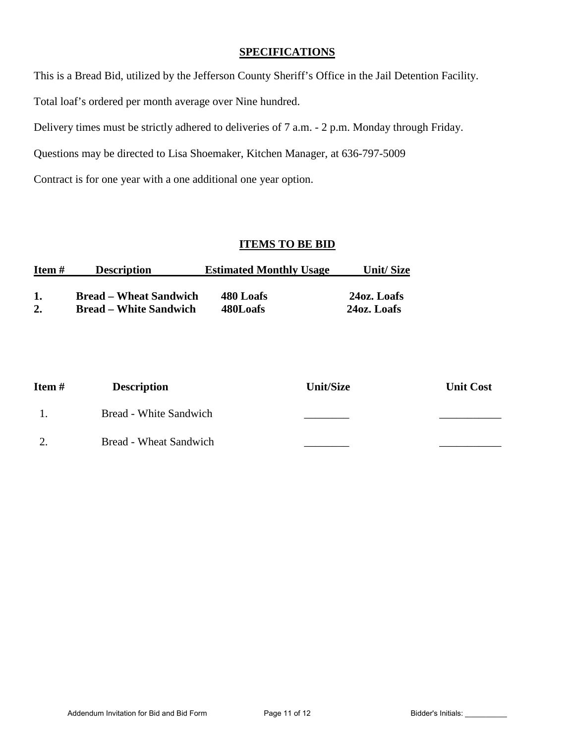## **SPECIFICATIONS**

This is a Bread Bid, utilized by the Jefferson County Sheriff's Office in the Jail Detention Facility.

Total loaf's ordered per month average over Nine hundred.

Delivery times must be strictly adhered to deliveries of 7 a.m. - 2 p.m. Monday through Friday.

Questions may be directed to Lisa Shoemaker, Kitchen Manager, at 636-797-5009

Contract is for one year with a one additional one year option.

## **ITEMS TO BE BID**

| Item # | <b>Description</b>            | <b>Estimated Monthly Usage</b> | Unit/Size   |
|--------|-------------------------------|--------------------------------|-------------|
|        | <b>Bread – Wheat Sandwich</b> | 480 Loafs                      | 24oz. Loafs |
| 2.     | <b>Bread – White Sandwich</b> | 480Loafs                       | 24oz. Loafs |

| Item# | <b>Description</b>     | <b>Unit/Size</b> | <b>Unit Cost</b> |
|-------|------------------------|------------------|------------------|
|       | Bread - White Sandwich |                  |                  |
|       | Bread - Wheat Sandwich |                  |                  |